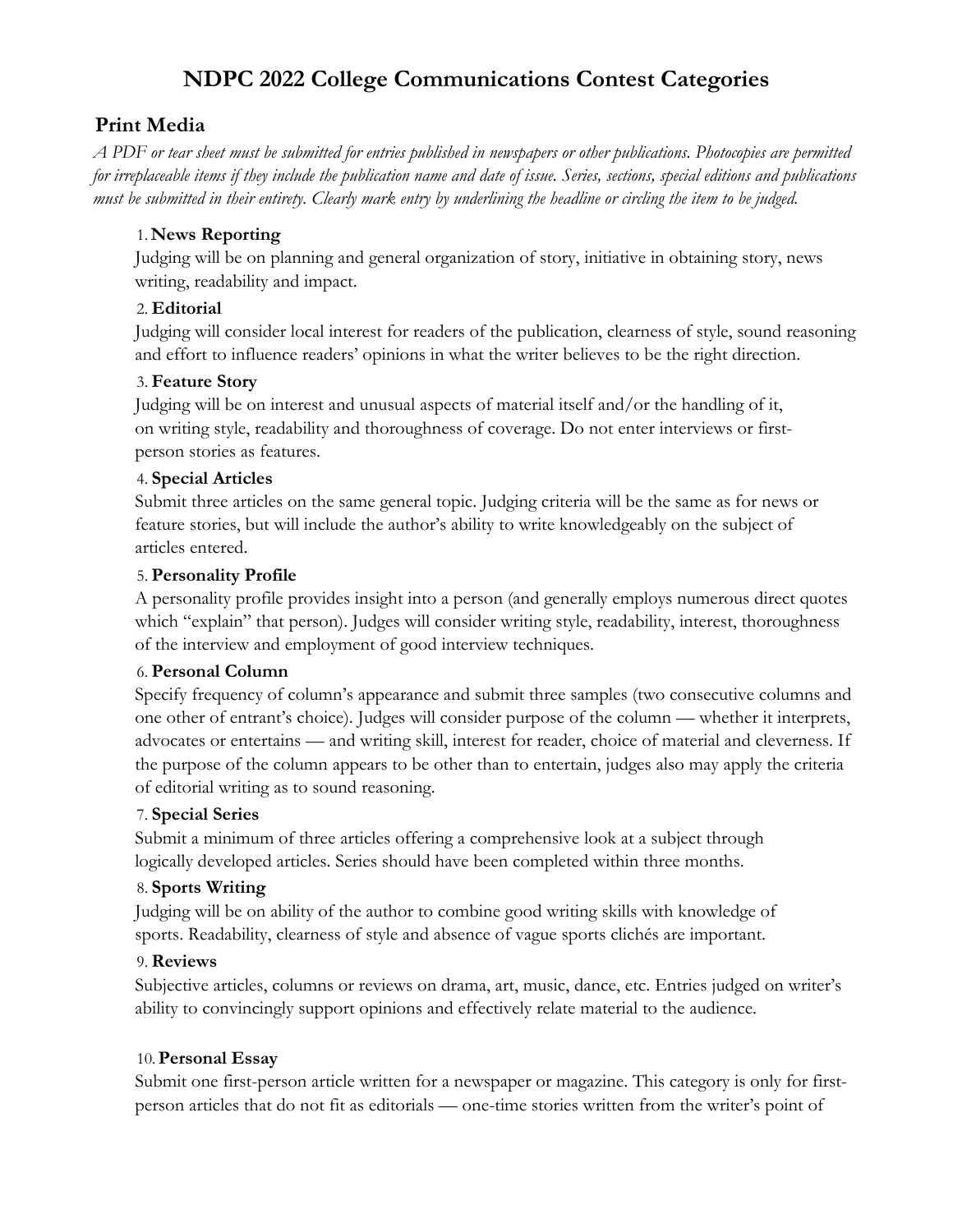# **NDPC 2022 College Communications Contest Categories**

## **Print Media**

*A PDF or tear sheet must be submitted for entries published in newspapers or other publications. Photocopies are permitted for irreplaceable items if they include the publication name and date of issue. Series, sections, special editions and publications must be submitted in their entirety. Clearly mark entry by underlining the headline or circling the item to be judged.*

### 1. **News Reporting**

Judging will be on planning and general organization of story, initiative in obtaining story, news writing, readability and impact.

### 2. **Editorial**

Judging will consider local interest for readers of the publication, clearness of style, sound reasoning and effort to influence readers' opinions in what the writer believes to be the right direction.

### 3. **Feature Story**

Judging will be on interest and unusual aspects of material itself and/or the handling of it, on writing style, readability and thoroughness of coverage. Do not enter interviews or firstperson stories as features.

### 4. **Special Articles**

Submit three articles on the same general topic. Judging criteria will be the same as for news or feature stories, but will include the author's ability to write knowledgeably on the subject of articles entered.

### 5. **Personality Profile**

A personality profile provides insight into a person (and generally employs numerous direct quotes which "explain" that person). Judges will consider writing style, readability, interest, thoroughness of the interview and employment of good interview techniques.

### 6. **Personal Column**

Specify frequency of column's appearance and submit three samples (two consecutive columns and one other of entrant's choice). Judges will consider purpose of the column — whether it interprets, advocates or entertains — and writing skill, interest for reader, choice of material and cleverness. If the purpose of the column appears to be other than to entertain, judges also may apply the criteria of editorial writing as to sound reasoning.

### 7. **Special Series**

Submit a minimum of three articles offering a comprehensive look at a subject through logically developed articles. Series should have been completed within three months.

### 8. **Sports Writing**

Judging will be on ability of the author to combine good writing skills with knowledge of sports. Readability, clearness of style and absence of vague sports clichés are important.

## 9. **Reviews**

Subjective articles, columns or reviews on drama, art, music, dance, etc. Entries judged on writer's ability to convincingly support opinions and effectively relate material to the audience.

### 10.**Personal Essay**

Submit one first-person article written for a newspaper or magazine. This category is only for firstperson articles that do not fit as editorials — one-time stories written from the writer's point of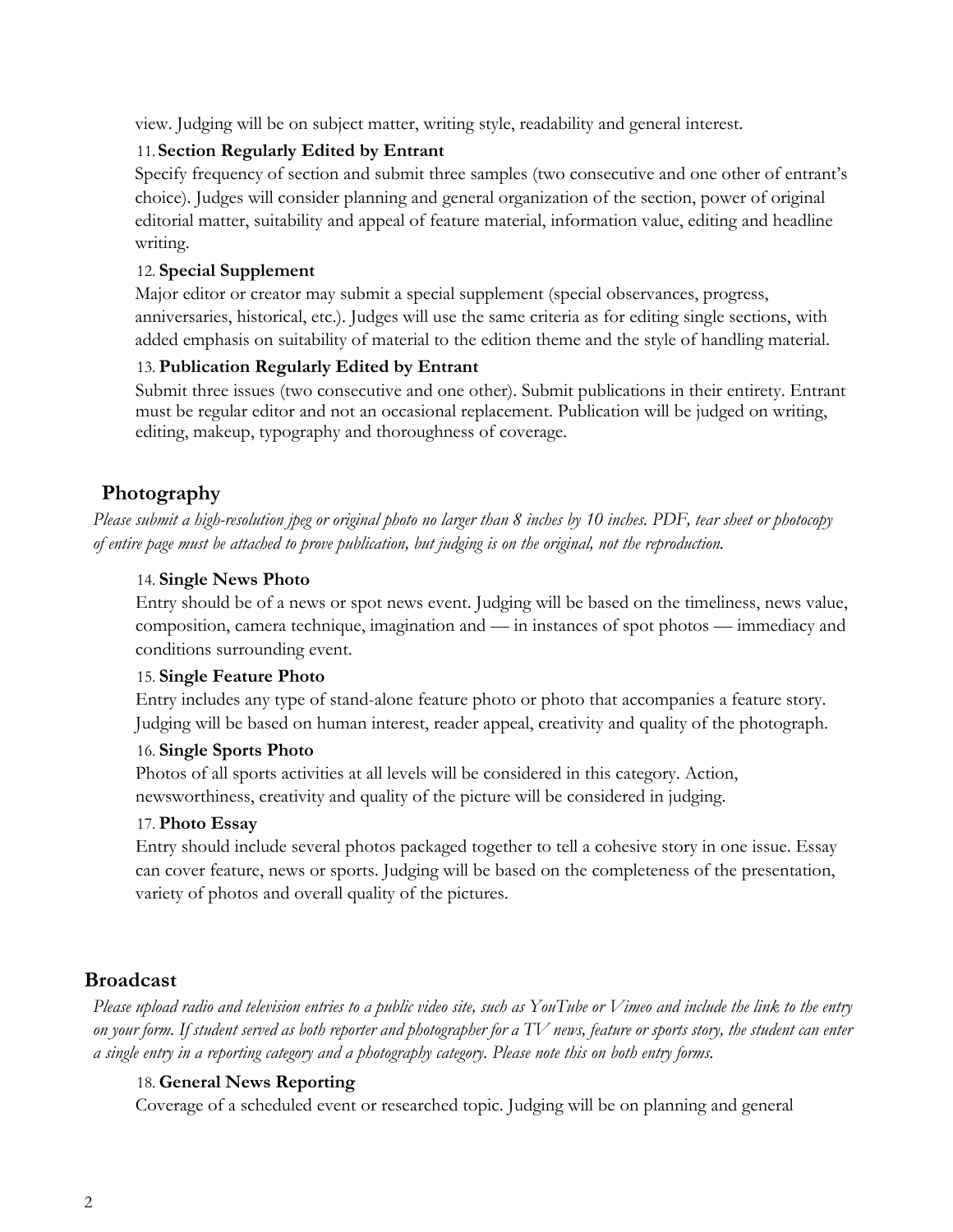view. Judging will be on subject matter, writing style, readability and general interest.

#### 11.**Section Regularly Edited by Entrant**

Specify frequency of section and submit three samples (two consecutive and one other of entrant's choice). Judges will consider planning and general organization of the section, power of original editorial matter, suitability and appeal of feature material, information value, editing and headline writing.

#### 12. **Special Supplement**

Major editor or creator may submit a special supplement (special observances, progress, anniversaries, historical, etc.). Judges will use the same criteria as for editing single sections, with added emphasis on suitability of material to the edition theme and the style of handling material.

#### 13. **Publication Regularly Edited by Entrant**

Submit three issues (two consecutive and one other). Submit publications in their entirety. Entrant must be regular editor and not an occasional replacement. Publication will be judged on writing, editing, makeup, typography and thoroughness of coverage.

## **Photography**

*Please submit a high-resolution jpeg or original photo no larger than 8 inches by 10 inches. PDF, tear sheet or photocopy of entire page must be attached to prove publication, but judging is on the original, not the reproduction.* 

#### 14. **Single News Photo**

Entry should be of a news or spot news event. Judging will be based on the timeliness, news value, composition, camera technique, imagination and — in instances of spot photos — immediacy and conditions surrounding event.

#### 15. **Single Feature Photo**

Entry includes any type of stand-alone feature photo or photo that accompanies a feature story. Judging will be based on human interest, reader appeal, creativity and quality of the photograph.

#### 16. **Single Sports Photo**

Photos of all sports activities at all levels will be considered in this category. Action, newsworthiness, creativity and quality of the picture will be considered in judging.

#### 17. **Photo Essay**

Entry should include several photos packaged together to tell a cohesive story in one issue. Essay can cover feature, news or sports. Judging will be based on the completeness of the presentation, variety of photos and overall quality of the pictures.

### **Broadcast**

*Please upload radio and television entries to a public video site, such as YouTube or Vimeo and include the link to the entry on your form. If student served as both reporter and photographer for a TV news, feature or sports story, the student can enter a single entry in a reporting category and a photography category. Please note this on both entry forms.*

#### 18. **General News Reporting**

Coverage of a scheduled event or researched topic. Judging will be on planning and general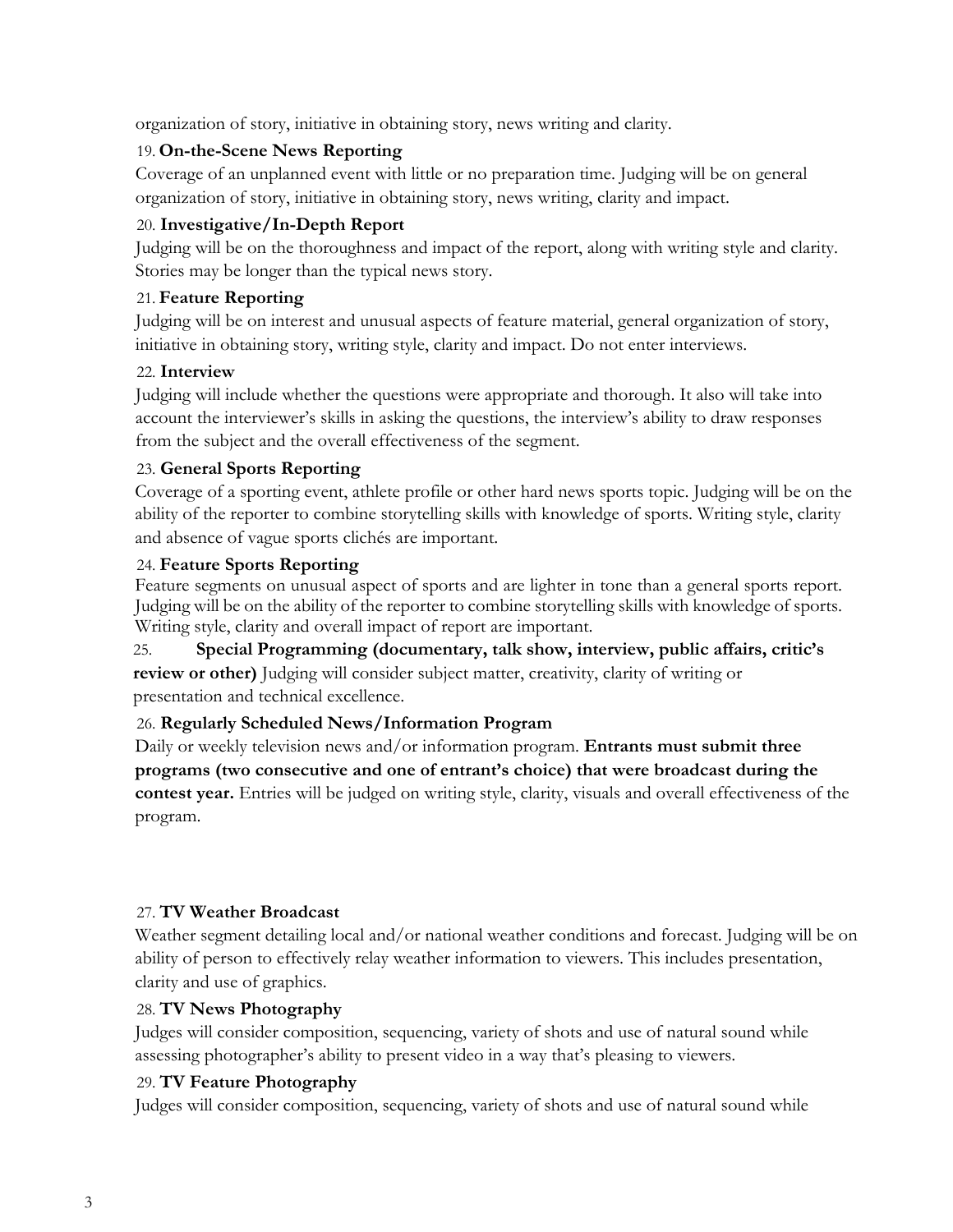organization of story, initiative in obtaining story, news writing and clarity.

### 19. **On-the-Scene News Reporting**

Coverage of an unplanned event with little or no preparation time. Judging will be on general organization of story, initiative in obtaining story, news writing, clarity and impact.

### 20. **Investigative/In-Depth Report**

Judging will be on the thoroughness and impact of the report, along with writing style and clarity. Stories may be longer than the typical news story.

### 21. **Feature Reporting**

Judging will be on interest and unusual aspects of feature material, general organization of story, initiative in obtaining story, writing style, clarity and impact. Do not enter interviews.

### 22. **Interview**

Judging will include whether the questions were appropriate and thorough. It also will take into account the interviewer's skills in asking the questions, the interview's ability to draw responses from the subject and the overall effectiveness of the segment.

### 23. **General Sports Reporting**

Coverage of a sporting event, athlete profile or other hard news sports topic. Judging will be on the ability of the reporter to combine storytelling skills with knowledge of sports. Writing style, clarity and absence of vague sports clichés are important.

### 24. **Feature Sports Reporting**

Feature segments on unusual aspect of sports and are lighter in tone than a general sports report. Judging will be on the ability of the reporter to combine storytelling skills with knowledge of sports. Writing style, clarity and overall impact of report are important.

25. **Special Programming (documentary, talk show, interview, public affairs, critic's review or other)** Judging will consider subject matter, creativity, clarity of writing or presentation and technical excellence.

## 26. **Regularly Scheduled News/Information Program**

Daily or weekly television news and/or information program. **Entrants must submit three programs (two consecutive and one of entrant's choice) that were broadcast during the contest year.** Entries will be judged on writing style, clarity, visuals and overall effectiveness of the program.

## 27. **TV Weather Broadcast**

Weather segment detailing local and/or national weather conditions and forecast. Judging will be on ability of person to effectively relay weather information to viewers. This includes presentation, clarity and use of graphics.

## 28. **TV News Photography**

Judges will consider composition, sequencing, variety of shots and use of natural sound while assessing photographer's ability to present video in a way that's pleasing to viewers.

## 29. **TV Feature Photography**

Judges will consider composition, sequencing, variety of shots and use of natural sound while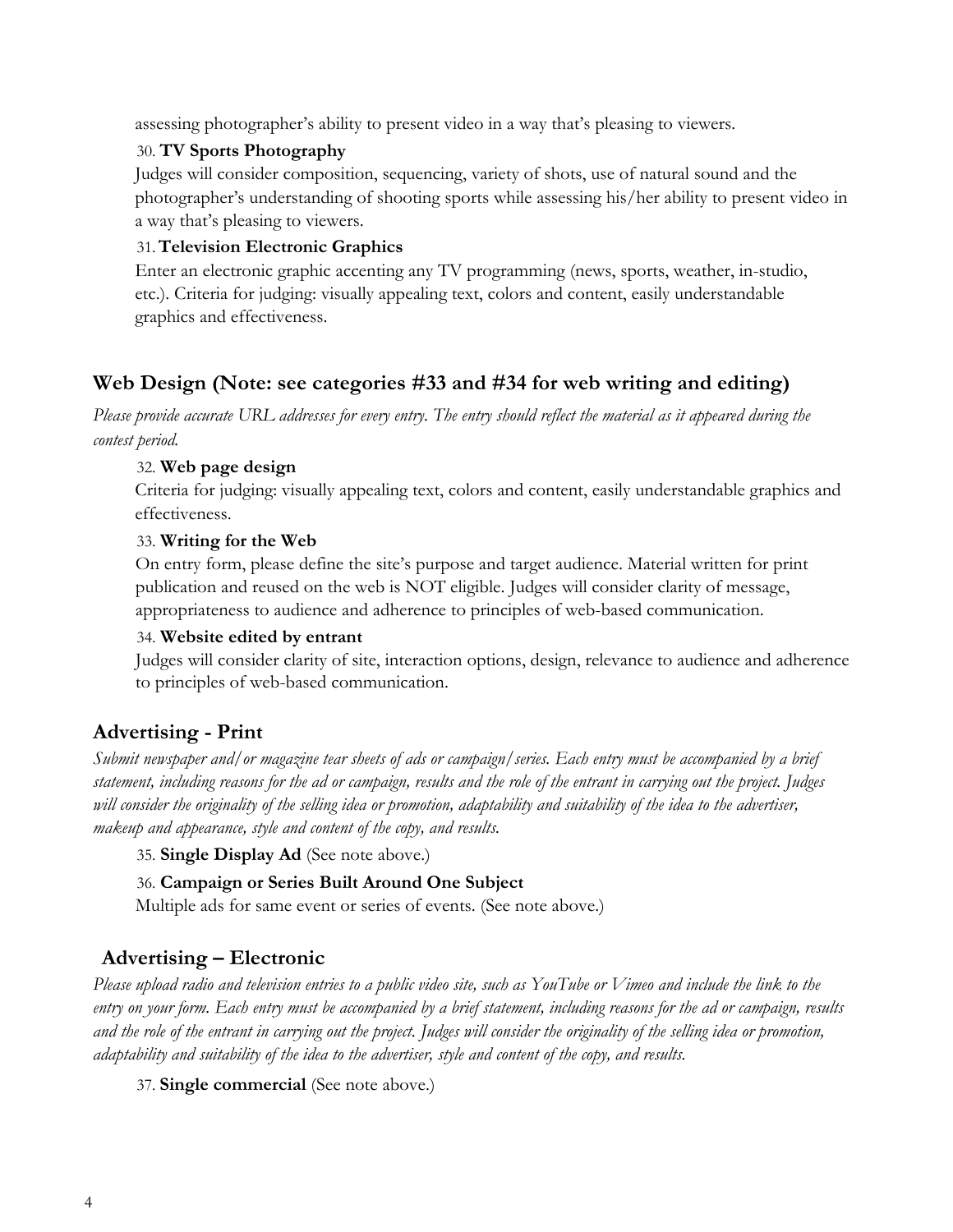assessing photographer's ability to present video in a way that's pleasing to viewers.

#### 30. **TV Sports Photography**

Judges will consider composition, sequencing, variety of shots, use of natural sound and the photographer's understanding of shooting sports while assessing his/her ability to present video in a way that's pleasing to viewers.

#### 31.**Television Electronic Graphics**

Enter an electronic graphic accenting any TV programming (news, sports, weather, in-studio, etc.). Criteria for judging: visually appealing text, colors and content, easily understandable graphics and effectiveness.

# **Web Design (Note: see categories #33 and #34 for web writing and editing)**

*Please provide accurate URL addresses for every entry. The entry should reflect the material as it appeared during the contest period.*

#### 32. **Web page design**

Criteria for judging: visually appealing text, colors and content, easily understandable graphics and effectiveness.

#### 33. **Writing for the Web**

On entry form, please define the site's purpose and target audience. Material written for print publication and reused on the web is NOT eligible. Judges will consider clarity of message, appropriateness to audience and adherence to principles of web-based communication.

#### 34. **Website edited by entrant**

Judges will consider clarity of site, interaction options, design, relevance to audience and adherence to principles of web-based communication.

# **Advertising - Print**

*Submit newspaper and/or magazine tear sheets of ads or campaign/series. Each entry must be accompanied by a brief statement, including reasons for the ad or campaign, results and the role of the entrant in carrying out the project. Judges will consider the originality of the selling idea or promotion, adaptability and suitability of the idea to the advertiser, makeup and appearance, style and content of the copy, and results.*

35. **Single Display Ad** (See note above.)

### 36. **Campaign or Series Built Around One Subject**

Multiple ads for same event or series of events. (See note above.)

# **Advertising – Electronic**

*Please upload radio and television entries to a public video site, such as YouTube or Vimeo and include the link to the entry on your form. Each entry must be accompanied by a brief statement, including reasons for the ad or campaign, results and the role of the entrant in carrying out the project. Judges will consider the originality of the selling idea or promotion, adaptability and suitability of the idea to the advertiser, style and content of the copy, and results.*

37. **Single commercial** (See note above.)